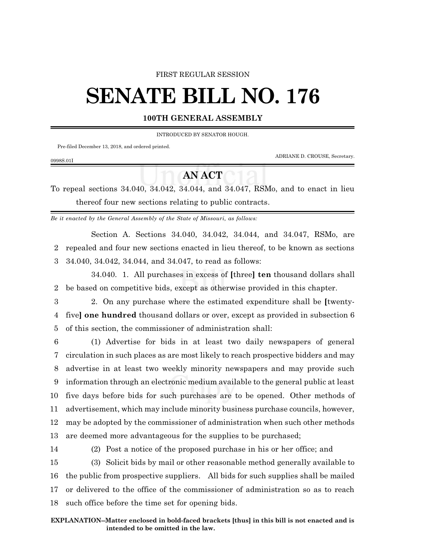### FIRST REGULAR SESSION

# **SENATE BILL NO. 176**

## **100TH GENERAL ASSEMBLY**

INTRODUCED BY SENATOR HOUGH.

Pre-filed December 13, 2018, and ordered printed.

ADRIANE D. CROUSE, Secretary.

#### 0998S.01I

# **AN ACT**

To repeal sections 34.040, 34.042, 34.044, and 34.047, RSMo, and to enact in lieu thereof four new sections relating to public contracts.

*Be it enacted by the General Assembly of the State of Missouri, as follows:*

Section A. Sections 34.040, 34.042, 34.044, and 34.047, RSMo, are 2 repealed and four new sections enacted in lieu thereof, to be known as sections 3 34.040, 34.042, 34.044, and 34.047, to read as follows:

34.040. 1. All purchases in excess of **[**three**] ten** thousand dollars shall 2 be based on competitive bids, except as otherwise provided in this chapter.

3 2. On any purchase where the estimated expenditure shall be **[**twenty-4 five**] one hundred** thousand dollars or over, except as provided in subsection 6 5 of this section, the commissioner of administration shall:

 (1) Advertise for bids in at least two daily newspapers of general circulation in such places as are most likely to reach prospective bidders and may advertise in at least two weekly minority newspapers and may provide such information through an electronic medium available to the general public at least five days before bids for such purchases are to be opened. Other methods of advertisement, which may include minority business purchase councils, however, may be adopted by the commissioner of administration when such other methods are deemed more advantageous for the supplies to be purchased;

 (2) Post a notice of the proposed purchase in his or her office; and (3) Solicit bids by mail or other reasonable method generally available to the public from prospective suppliers. All bids for such supplies shall be mailed or delivered to the office of the commissioner of administration so as to reach such office before the time set for opening bids.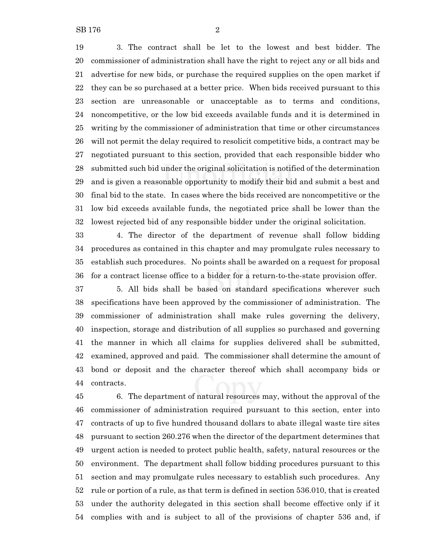3. The contract shall be let to the lowest and best bidder. The commissioner of administration shall have the right to reject any or all bids and advertise for new bids, or purchase the required supplies on the open market if they can be so purchased at a better price. When bids received pursuant to this section are unreasonable or unacceptable as to terms and conditions, noncompetitive, or the low bid exceeds available funds and it is determined in writing by the commissioner of administration that time or other circumstances will not permit the delay required to resolicit competitive bids, a contract may be negotiated pursuant to this section, provided that each responsible bidder who submitted such bid under the original solicitation is notified of the determination and is given a reasonable opportunity to modify their bid and submit a best and final bid to the state. In cases where the bids received are noncompetitive or the low bid exceeds available funds, the negotiated price shall be lower than the

 4. The director of the department of revenue shall follow bidding procedures as contained in this chapter and may promulgate rules necessary to establish such procedures. No points shall be awarded on a request for proposal for a contract license office to a bidder for a return-to-the-state provision offer.

lowest rejected bid of any responsible bidder under the original solicitation.

 5. All bids shall be based on standard specifications wherever such specifications have been approved by the commissioner of administration. The commissioner of administration shall make rules governing the delivery, inspection, storage and distribution of all supplies so purchased and governing the manner in which all claims for supplies delivered shall be submitted, examined, approved and paid. The commissioner shall determine the amount of bond or deposit and the character thereof which shall accompany bids or contracts.

 6. The department of natural resources may, without the approval of the commissioner of administration required pursuant to this section, enter into contracts of up to five hundred thousand dollars to abate illegal waste tire sites pursuant to section 260.276 when the director of the department determines that urgent action is needed to protect public health, safety, natural resources or the environment. The department shall follow bidding procedures pursuant to this section and may promulgate rules necessary to establish such procedures. Any rule or portion of a rule, as that term is defined in section 536.010, that is created under the authority delegated in this section shall become effective only if it complies with and is subject to all of the provisions of chapter 536 and, if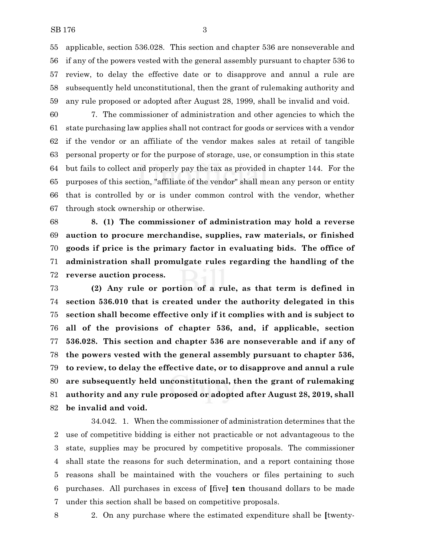applicable, section 536.028. This section and chapter 536 are nonseverable and if any of the powers vested with the general assembly pursuant to chapter 536 to review, to delay the effective date or to disapprove and annul a rule are subsequently held unconstitutional, then the grant of rulemaking authority and any rule proposed or adopted after August 28, 1999, shall be invalid and void.

 7. The commissioner of administration and other agencies to which the state purchasing law applies shall not contract for goods or services with a vendor if the vendor or an affiliate of the vendor makes sales at retail of tangible personal property or for the purpose of storage, use, or consumption in this state but fails to collect and properly pay the tax as provided in chapter 144. For the purposes of this section, "affiliate of the vendor" shall mean any person or entity that is controlled by or is under common control with the vendor, whether through stock ownership or otherwise.

 **8. (1) The commissioner of administration may hold a reverse auction to procure merchandise, supplies, raw materials, or finished goods if price is the primary factor in evaluating bids. The office of administration shall promulgate rules regarding the handling of the reverse auction process.**

 **(2) Any rule or portion of a rule, as that term is defined in section 536.010 that is created under the authority delegated in this section shall become effective only if it complies with and is subject to all of the provisions of chapter 536, and, if applicable, section 536.028. This section and chapter 536 are nonseverable and if any of the powers vested with the general assembly pursuant to chapter 536, to review, to delay the effective date, or to disapprove and annul a rule are subsequently held unconstitutional, then the grant of rulemaking authority and any rule proposed or adopted after August 28, 2019, shall be invalid and void.**

34.042. 1. When the commissioner of administration determines that the use of competitive bidding is either not practicable or not advantageous to the state, supplies may be procured by competitive proposals. The commissioner shall state the reasons for such determination, and a report containing those reasons shall be maintained with the vouchers or files pertaining to such purchases. All purchases in excess of **[**five**] ten** thousand dollars to be made under this section shall be based on competitive proposals.

2. On any purchase where the estimated expenditure shall be **[**twenty-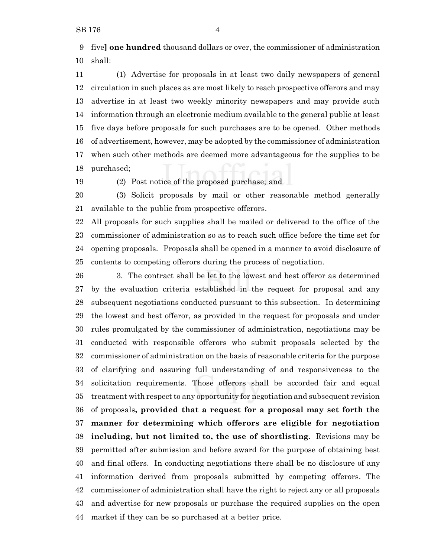five**] one hundred** thousand dollars or over, the commissioner of administration shall:

 (1) Advertise for proposals in at least two daily newspapers of general circulation in such places as are most likely to reach prospective offerors and may advertise in at least two weekly minority newspapers and may provide such information through an electronic medium available to the general public at least five days before proposals for such purchases are to be opened. Other methods of advertisement, however, may be adopted by the commissioner of administration when such other methods are deemed more advantageous for the supplies to be purchased;

(2) Post notice of the proposed purchase; and

 (3) Solicit proposals by mail or other reasonable method generally available to the public from prospective offerors.

 All proposals for such supplies shall be mailed or delivered to the office of the commissioner of administration so as to reach such office before the time set for opening proposals. Proposals shall be opened in a manner to avoid disclosure of contents to competing offerors during the process of negotiation.

 3. The contract shall be let to the lowest and best offeror as determined by the evaluation criteria established in the request for proposal and any subsequent negotiations conducted pursuant to this subsection. In determining the lowest and best offeror, as provided in the request for proposals and under rules promulgated by the commissioner of administration, negotiations may be conducted with responsible offerors who submit proposals selected by the commissioner of administration on the basis of reasonable criteria for the purpose of clarifying and assuring full understanding of and responsiveness to the solicitation requirements. Those offerors shall be accorded fair and equal treatment with respect to any opportunity for negotiation and subsequent revision of proposals**, provided that a request for a proposal may set forth the manner for determining which offerors are eligible for negotiation including, but not limited to, the use of shortlisting**. Revisions may be permitted after submission and before award for the purpose of obtaining best and final offers. In conducting negotiations there shall be no disclosure of any information derived from proposals submitted by competing offerors. The commissioner of administration shall have the right to reject any or all proposals and advertise for new proposals or purchase the required supplies on the open market if they can be so purchased at a better price.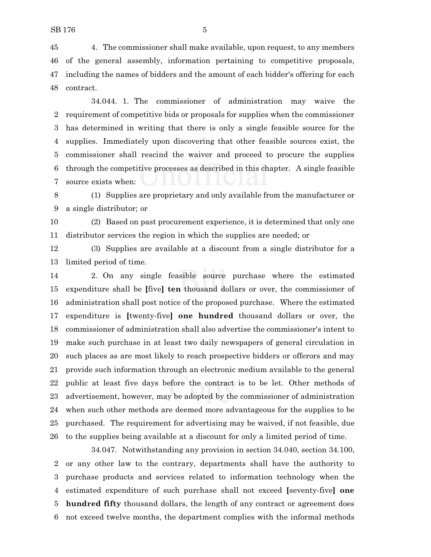4. The commissioner shall make available, upon request, to any members of the general assembly, information pertaining to competitive proposals, including the names of bidders and the amount of each bidder's offering for each contract.

34.044. 1. The commissioner of administration may waive the requirement of competitive bids or proposals for supplies when the commissioner has determined in writing that there is only a single feasible source for the supplies. Immediately upon discovering that other feasible sources exist, the commissioner shall rescind the waiver and proceed to procure the supplies through the competitive processes as described in this chapter. A single feasible source exists when:

 (1) Supplies are proprietary and only available from the manufacturer or a single distributor; or

 (2) Based on past procurement experience, it is determined that only one distributor services the region in which the supplies are needed; or

 (3) Supplies are available at a discount from a single distributor for a limited period of time.

 2. On any single feasible source purchase where the estimated expenditure shall be **[**five**] ten** thousand dollars or over, the commissioner of administration shall post notice of the proposed purchase. Where the estimated expenditure is **[**twenty-five**] one hundred** thousand dollars or over, the commissioner of administration shall also advertise the commissioner's intent to make such purchase in at least two daily newspapers of general circulation in such places as are most likely to reach prospective bidders or offerors and may provide such information through an electronic medium available to the general public at least five days before the contract is to be let. Other methods of advertisement, however, may be adopted by the commissioner of administration when such other methods are deemed more advantageous for the supplies to be purchased. The requirement for advertising may be waived, if not feasible, due to the supplies being available at a discount for only a limited period of time.

34.047. Notwithstanding any provision in section 34.040, section 34.100, or any other law to the contrary, departments shall have the authority to purchase products and services related to information technology when the estimated expenditure of such purchase shall not exceed **[**seventy-five**] one hundred fifty** thousand dollars, the length of any contract or agreement does not exceed twelve months, the department complies with the informal methods